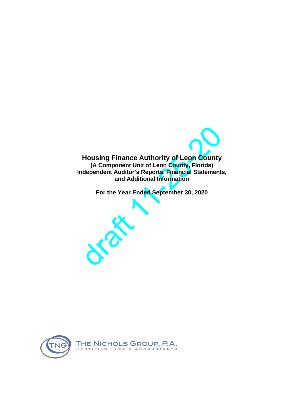Housing Finance Authority of Leon County<br>
(A Component Unit of Leon County, Florida)<br>
Independent Auditor's Reports, Financial Statements<br>
and Additional Information<br>
For the Year Ended September 30, 2020<br>
September 30, 20 **Housing Finance Authority of Leon County (A Component Unit of Leon County, Florida) Independent Auditor's Reports, Financial Statements, and Additional Information**

**For the Year Ended September 30, 2020**

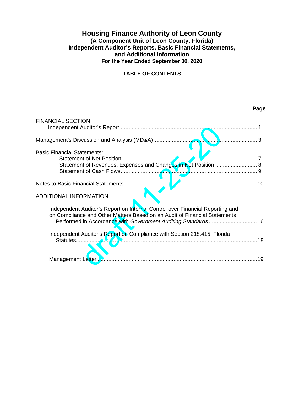# **Housing Finance Authority of Leon County (A Component Unit of Leon County, Florida) Independent Auditor's Reports, Basic Financial Statements, and Additional Information For the Year Ended September 30, 2020**

# **TABLE OF CONTENTS**

**Page**

# draft 11-25-20 FINANCIAL SECTION Independent Auditor's Report ........................................................................................ 1 Management's Discussion and Analysis (MD&A)................................................................... 3 Basic Financial Statements: Statement of Net Position ....................................................................................... 7 Statement of Revenues, Expenses and Changes in Net Position ........................... 8 Statement of Cash Flows........................................................................................ 9 Notes to Basic Financial Statements...................................................................................... 10 ADDITIONAL INFORMATION Independent Auditor's Report on Internal Control over Financial Reporting and on Compliance and Other Matters Based on an Audit of Financial Statements Performed in Accordance with *Government Auditing Standards ...............................*16 Independent Auditor's Report on Compliance with Section 218.415, Florida Statutes..................................................................................................................... 18 Management Letter .......................................................................................................19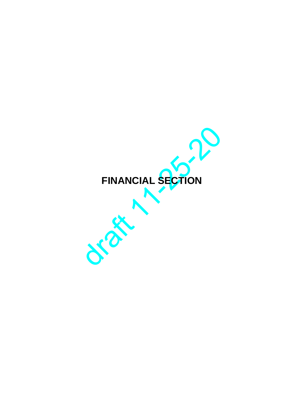# FINANCIAL SECTION **FINANCIAL SECTION**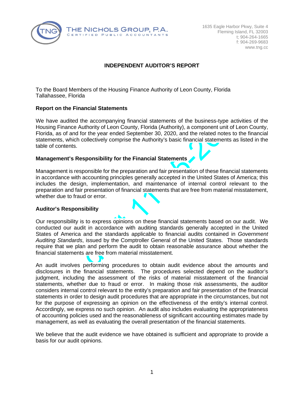

# **INDEPENDENT AUDITOR'S REPORT**

To the Board Members of the Housing Finance Authority of Leon County, Florida Tallahassee, Florida

### **Report on the Financial Statements**

We have audited the accompanying financial statements of the business-type activities of the Housing Finance Authority of Leon County, Florida (Authority), a component unit of Leon County, Florida, as of and for the year ended September 30, 2020, and the related notes to the financial statements, which collectively comprise the Authority's basic financial statements as listed in the table of contents.

# **Management's Responsibility for the Financial Statements**

Management is responsible for the preparation and fair presentation of these financial statements in accordance with accounting principles generally accepted in the United States of America; this includes the design, implementation, and maintenance of internal control relevant to the preparation and fair presentation of financial statements that are free from material misstatement, whether due to fraud or error.

### **Auditor's Responsibility**

Nuthority of Leon County, Florida (Authority), a component u<br>for the year ended September 30, 2020, and the related no<br>collectively comprise the Authority's basic financial statements<br>sponsibility for the Financial Stateme Our responsibility is to express opinions on these financial statements based on our audit. We conducted our audit in accordance with auditing standards generally accepted in the United States of America and the standards applicable to financial audits contained in *Government Auditing Standards*, issued by the Comptroller General of the United States. Those standards require that we plan and perform the audit to obtain reasonable assurance about whether the financial statements are free from material misstatement.

An audit involves performing procedures to obtain audit evidence about the amounts and disclosures in the financial statements. The procedures selected depend on the auditor's judgment, including the assessment of the risks of material misstatement of the financial statements, whether due to fraud or error. In making those risk assessments, the auditor considers internal control relevant to the entity's preparation and fair presentation of the financial statements in order to design audit procedures that are appropriate in the circumstances, but not for the purpose of expressing an opinion on the effectiveness of the entity's internal control. Accordingly, we express no such opinion. An audit also includes evaluating the appropriateness of accounting policies used and the reasonableness of significant accounting estimates made by management, as well as evaluating the overall presentation of the financial statements.

We believe that the audit evidence we have obtained is sufficient and appropriate to provide a basis for our audit opinions.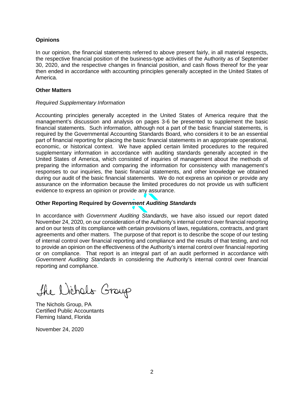# **Opinions**

In our opinion, the financial statements referred to above present fairly, in all material respects, the respective financial position of the business-type activities of the Authority as of September 30, 2020, and the respective changes in financial position, and cash flows thereof for the year then ended in accordance with accounting principles generally accepted in the United States of America.

# **Other Matters**

# *Required Supplementary Information*

ts. Such information, although not a part of the basic finar<br>wernmental Accounting Standards Board, who considers it<br>orbiting for placing the basic financial statements in an appro-<br>pricrial context. We have applied certai Accounting principles generally accepted in the United States of America require that the management's discussion and analysis on pages 3-6 be presented to supplement the basic financial statements. Such information, although not a part of the basic financial statements, is required by the Governmental Accounting Standards Board, who considers it to be an essential part of financial reporting for placing the basic financial statements in an appropriate operational, economic, or historical context. We have applied certain limited procedures to the required supplementary information in accordance with auditing standards generally accepted in the United States of America, which consisted of inquiries of management about the methods of preparing the information and comparing the information for consistency with management's responses to our inquiries, the basic financial statements, and other knowledge we obtained during our audit of the basic financial statements. We do not express an opinion or provide any assurance on the information because the limited procedures do not provide us with sufficient evidence to express an opinion or provide any assurance.

# **Other Reporting Required by** *Government Auditing Standards*

In accordance with *Government Auditing Standards*, we have also issued our report dated November 24, 2020, on our consideration of the Authority's internal control over financial reporting and on our tests of its compliance with certain provisions of laws, regulations, contracts, and grant agreements and other matters. The purpose of that report is to describe the scope of our testing of internal control over financial reporting and compliance and the results of that testing, and not to provide an opinion on the effectiveness of the Authority's internal control over financial reporting or on compliance. That report is an integral part of an audit performed in accordance with *Government Auditing Standards* in considering the Authority's internal control over financial reporting and compliance.

the Wichels Group

The Nichols Group, PA Certified Public Accountants Fleming Island, Florida

November 24, 2020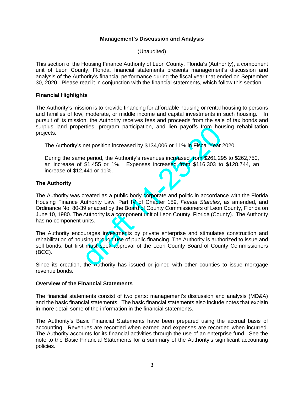# **Management's Discussion and Analysis**

(Unaudited)

This section of the Housing Finance Authority of Leon County, Florida's (Authority), a component unit of Leon County, Florida, financial statements presents management's discussion and analysis of the Authority's financial performance during the fiscal year that ended on September 30, 2020. Please read it in conjunction with the financial statements, which follow this section.

## **Financial Highlights**

The Authority's mission is to provide financing for affordable housing or rental housing to persons and families of low, moderate, or middle income and capital investments in such housing. In pursuit of its mission, the Authority receives fees and proceeds from the sale of tax bonds and surplus land properties, program participation, and lien payoffs from housing rehabilitation projects.

The Authority's net position increased by \$134,006 or 11% in Fiscal Year 2020.

During the same period, the Authority's revenues increased from \$261,295 to \$262,750, an increase of \$1,455 or 1%. Expenses increased from \$116,303 to \$128,744, an increase of \$12,441 or 11%.

# **The Authority**

erties, program participation, and lien payofts from hot<br>
in et position increased by \$134,006 or 11% in Fiscal Year.<br>
The period, the Authority's revenues increased from \$261,29<br>
\$1,455 or 1%. Expenses increased from \$116 The Authority was created as a public body corporate and politic in accordance with the Florida Housing Finance Authority Law, Part IV of Chapter 159, *Florida Statutes*, as amended, and Ordinance No. 80-39 enacted by the Board of County Commissioners of Leon County, Florida on June 10, 1980. The Authority is a component unit of Leon County, Florida (County). The Authority has no component units.

The Authority encourages investments by private enterprise and stimulates construction and rehabilitation of housing through use of public financing. The Authority is authorized to issue and sell bonds, but first must seek approval of the Leon County Board of County Commissioners (BCC).

Since its creation, the Authority has issued or joined with other counties to issue mortgage revenue bonds.

### **Overview of the Financial Statements**

The financial statements consist of two parts: management's discussion and analysis (MD&A) and the basic financial statements. The basic financial statements also include notes that explain in more detail some of the information in the financial statements.

The Authority's Basic Financial Statements have been prepared using the accrual basis of accounting. Revenues are recorded when earned and expenses are recorded when incurred. The Authority accounts for its financial activities through the use of an enterprise fund. See the note to the Basic Financial Statements for a summary of the Authority's significant accounting policies.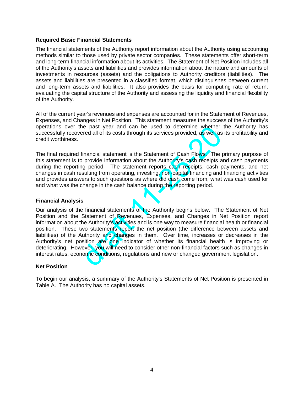# **Required Basic Financial Statements**

The financial statements of the Authority report information about the Authority using accounting methods similar to those used by private sector companies. These statements offer short-term and long-term financial information about its activities. The Statement of Net Position includes all of the Authority's assets and liabilities and provides information about the nature and amounts of investments in resources (assets) and the obligations to Authority creditors (liabilities). The assets and liabilities are presented in a classified format, which distinguishes between current and long-term assets and liabilities. It also provides the basis for computing rate of return, evaluating the capital structure of the Authority and assessing the liquidity and financial flexibility of the Authority.

All of the current year's revenues and expenses are accounted for in the Statement of Revenues, Expenses, and Changes in Net Position. This statement measures the success of the Authority's operations over the past year and can be used to determine whether the Authority has successfully recovered all of its costs through its services provided, as well as its profitability and credit worthiness.

The final required financial statement is the Statement of Cash Flows. The primary purpose of this statement is to provide information about the Authority's cash receipts and cash payments during the reporting period. The statement reports cash receipts, cash payments, and net changes in cash resulting from operating, investing, non-capital financing and financing activities and provides answers to such questions as where did cash come from, what was cash used for and what was the change in the cash balance during the reporting period.

### **Financial Analysis**

the past year and can be used to determine whether<br>ered all of its costs through its services provided, as well as<br>financial statement is the Statement of Cash Flows. The<br>provide information about the Authority's cash rece Our analysis of the financial statements of the Authority begins below. The Statement of Net Position and the Statement of Revenues, Expenses, and Changes in Net Position report information about the Authority's activities and is one way to measure financial health or financial position. These two statements report the net position (the difference between assets and liabilities) of the Authority and changes in them. Over time, increases or decreases in the Authority's net position are one indicator of whether its financial health is improving or deteriorating. However, you will need to consider other non-financial factors such as changes in interest rates, economic conditions, regulations and new or changed government legislation.

# **Net Position**

To begin our analysis, a summary of the Authority's Statements of Net Position is presented in Table A. The Authority has no capital assets.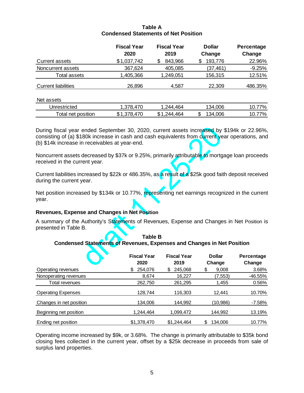# **Table A Condensed Statements of Net Position**

|                            | <b>Fiscal Year</b> | <b>Fiscal Year</b> | <b>Dollar</b> | Percentage |
|----------------------------|--------------------|--------------------|---------------|------------|
|                            | 2020               | 2019               | Change        | Change     |
| Current assets             | \$1,037,742        | 843,966<br>\$      | 193,776<br>\$ | 22.96%     |
| Noncurrent assets          | 367,624            | 405,085            | (37, 461)     | $-9.25%$   |
| Total assets               | 1,405,366          | 1,249,051          | 156,315       | 12.51%     |
| <b>Current liabilities</b> | 26,896             | 4,587              | 22,309        | 486.35%    |
| Net assets                 |                    |                    |               |            |
| Unrestricted               | 1,378,470          | 1,244,464          | 134,006       | 10.77%     |
| Total net position         | \$1,378,470        | \$1,244,464        | 134,006       | 10.77%     |

ended September 30, 2020, current assets increased by<br>
1180k increase in cash and cash equivalents from current year.<br>
decreased by \$37k or 9.25%, primarily attributable to mortgrent year.<br>
creased by \$22k or 486.35%, as a During fiscal year ended September 30, 2020, current assets increased by \$194k or 22.96%, consisting of (a) \$180k increase in cash and cash equivalents from current year operations, and (b) \$14k increase in receivables at year-end.

Noncurrent assets decreased by \$37k or 9.25%, primarily attributable to mortgage loan proceeds received in the current year.

Current liabilities increased by \$22k or 486.35%, as a result of a \$25k good faith deposit received during the current year.

Net position increased by \$134k or 10.77%, representing net earnings recognized in the current year.

# **Revenues, Expense and Changes in Net Position**

A summary of the Authority's Statements of Revenues, Expense and Changes in Net Position is presented in Table B.

# **Table B Condensed Statements of Revenues, Expenses and Changes in Net Position**

|                           | <b>Fiscal Year</b><br>2020 | <b>Fiscal Year</b><br>2019 | <b>Dollar</b><br>Change | Percentage<br>Change |
|---------------------------|----------------------------|----------------------------|-------------------------|----------------------|
| Operating revenues        | 254,076<br>S               | 245,068<br>\$              | \$<br>9,008             | 3.68%                |
| Nonoperating revenues     | 8,674                      | 16,227                     | (7, 553)                | $-46.55%$            |
| Total revenues            | 262,750                    | 261,295                    | 1,455                   | 0.56%                |
| <b>Operating Expenses</b> | 128,744                    | 116,303                    | 12,441                  | 10.70%               |
| Changes in net position   | 134,006                    | 144,992                    | (10,986)                | -7.58%               |
| Beginning net position    | 1,244,464                  | 1,099,472                  | 144,992                 | 13.19%               |
| Ending net position       | \$1,378,470                | \$1,244,464                | \$<br>134,006           | 10.77%               |

Operating income increased by \$9k, or 3.68%. The change is primarily attributable to \$35k bond closing fees collected in the current year, offset by a \$25k decrease in proceeds from sale of surplus land properties.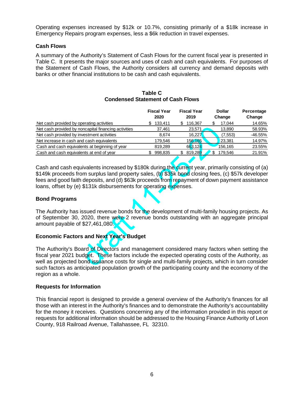Operating expenses increased by \$12k or 10.7%, consisting primarily of a \$18k increase in Emergency Repairs program expenses, less a \$6k reduction in travel expenses.

# **Cash Flows**

A summary of the Authority's Statement of Cash Flows for the current fiscal year is presented in Table C. It presents the major sources and uses of cash and cash equivalents. For purposes of the Statement of Cash Flows, the Authority considers all currency and demand deposits with banks or other financial institutions to be cash and cash equivalents.

| Condensed Statement of Cash Flows                                                                                                                                                                                                                                                                                                                                                                                                                                                                                                                                                           |                                          |           |    |               |            |          |         |
|---------------------------------------------------------------------------------------------------------------------------------------------------------------------------------------------------------------------------------------------------------------------------------------------------------------------------------------------------------------------------------------------------------------------------------------------------------------------------------------------------------------------------------------------------------------------------------------------|------------------------------------------|-----------|----|---------------|------------|----------|---------|
|                                                                                                                                                                                                                                                                                                                                                                                                                                                                                                                                                                                             | <b>Fiscal Year</b><br><b>Fiscal Year</b> |           |    | <b>Dollar</b> | Percentage |          |         |
|                                                                                                                                                                                                                                                                                                                                                                                                                                                                                                                                                                                             |                                          | 2020      |    | 2019          |            | Change   | Change  |
| Net cash provided by operating activities                                                                                                                                                                                                                                                                                                                                                                                                                                                                                                                                                   | S                                        | 133,411   | \$ | 116,367       | \$.        | 17,044   | 14.65%  |
| Net cash provided by noncapital financing activities                                                                                                                                                                                                                                                                                                                                                                                                                                                                                                                                        |                                          | 37,461    |    | 23,571        |            | 13,890   | 58.93%  |
| Net cash provided by investment activities                                                                                                                                                                                                                                                                                                                                                                                                                                                                                                                                                  |                                          | 8,674     |    | 16,227        |            | (7, 553) | -46.55% |
| Net increase in cash and cash equivalents                                                                                                                                                                                                                                                                                                                                                                                                                                                                                                                                                   |                                          | 179,546   |    | 156,165       |            | 23,381   | 14.97%  |
| Cash and cash equivalents at beginning of year                                                                                                                                                                                                                                                                                                                                                                                                                                                                                                                                              |                                          | 819,289   |    | 663,124       |            | 156,165  | 23.55%  |
| Cash and cash equivalents at end of year                                                                                                                                                                                                                                                                                                                                                                                                                                                                                                                                                    |                                          | \$998,835 |    | \$ 819,289    | \$         | 179,546  | 21.91%  |
| Cash and cash equivalents increased by \$180k during the current year, primarily consisting of (a)<br>\$149k proceeds from surplus land property sales, (b) \$35k bond closing fees, (c) \$57k developer<br>fees and good faith deposits, and (d) \$63k proceeds from repayment of down payment assistance<br>loans, offset by (e) \$131k disbursements for operating expenses.<br><b>Bond Programs</b>                                                                                                                                                                                     |                                          |           |    |               |            |          |         |
| The Authority has issued revenue bonds for the development of multi-family housing projects. As<br>of September 30, 2020, there were 2 revenue bonds outstanding with an aggregate principal<br>amount payable of $$27,461,080$ .<br><b>Economic Factors and Next Year's Budget</b><br>The Authority's Board of Directors and management considered many factors when setting the<br>fiscal year 2021 budget. These factors include the expected operating costs of the Authority, as<br>well as projected bond issuance costs for single and multi-family projects, which in turn consider |                                          |           |    |               |            |          |         |
| queb footere es estiginated penulation grouth of the pertigination county and the esenemy of the                                                                                                                                                                                                                                                                                                                                                                                                                                                                                            |                                          |           |    |               |            |          |         |

# **Table C Condensed Statement of Cash Flows**

# **Bond Programs**

# **Economic Factors and Next Year's Budget**

The Authority's Board of Directors and management considered many factors when setting the fiscal year 2021 budget. These factors include the expected operating costs of the Authority, as well as projected bond issuance costs for single and multi-family projects, which in turn consider such factors as anticipated population growth of the participating county and the economy of the region as a whole.

# **Requests for Information**

This financial report is designed to provide a general overview of the Authority's finances for all those with an interest in the Authority's finances and to demonstrate the Authority's accountability for the money it receives. Questions concerning any of the information provided in this report or requests for additional information should be addressed to the Housing Finance Authority of Leon County, 918 Railroad Avenue, Tallahassee, FL 32310.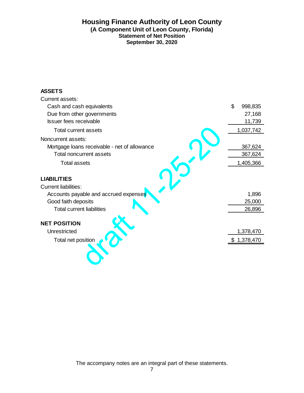# **Housing Finance Authority of Leon County (A Component Unit of Leon County, Florida) Statement of Net Position September 30, 2020**

| <b>ASSETS</b>                                     |               |
|---------------------------------------------------|---------------|
| Current assets:                                   |               |
| Cash and cash equivalents                         | \$<br>998,835 |
| Due from other governments                        | 27,168        |
| <b>Issuer fees receivable</b>                     | 11,739        |
| <b>Total current assets</b>                       | 1,037,742     |
| Noncurrent assets:                                |               |
| Mortgage loans receivable - net of allowance      | 367,624       |
| <b>Total noncurrent assets</b>                    | 367,624       |
| <b>Total assets</b>                               | 1,405,366     |
| <b>LIABILITIES</b><br><b>Current liabilities:</b> |               |
| Accounts payable and accrued expenses             | 1,896         |
| Good faith deposits                               | 25,000        |
| <b>Total current liabilities</b>                  | 26,896        |
| <b>NET POSITION</b>                               |               |
| Unrestricted                                      | 1,378,470     |
| Total net position                                | \$1,378,470   |
|                                                   |               |

The accompany notes are an integral part of these statements.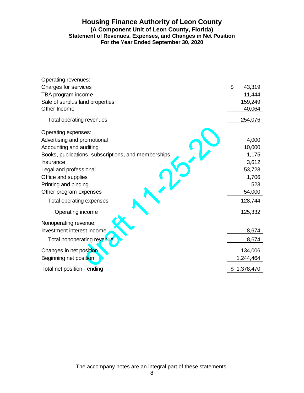# **Housing Finance Authority of Leon County (A Component Unit of Leon County, Florida) Statement of Revenues, Expenses, and Changes in Net Position For the Year Ended September 30, 2020**

| Operating revenues:                                 |              |
|-----------------------------------------------------|--------------|
| Charges for services                                | \$<br>43,319 |
| TBA program income                                  | 11,444       |
| Sale of surplus land properties                     | 159,249      |
| Other Income                                        | 40,064       |
| Total operating revenues                            | 254,076      |
| Operating expenses:                                 |              |
| Advertising and promotional                         | 4,000        |
| Accounting and auditing                             | 10,000       |
| Books, publications, subscriptions, and memberships | 1,175        |
| <b>Insurance</b>                                    | 3,612        |
| Legal and professional                              | 53,728       |
| Office and supplies                                 | 1,706        |
| Printing and binding                                | 523          |
| Other program expenses                              | 54,000       |
| Total operating expenses                            | 128,744      |
| Operating income                                    | 125,332      |
| Nonoperating revenue:                               |              |
| Investment interest income                          | 8,674        |
| Total nonoperating revenue                          | 8,674        |
| Changes in net position                             | 134,006      |
| Beginning net position                              | 1,244,464    |
| Total net position - ending                         | 1,378,470    |
|                                                     |              |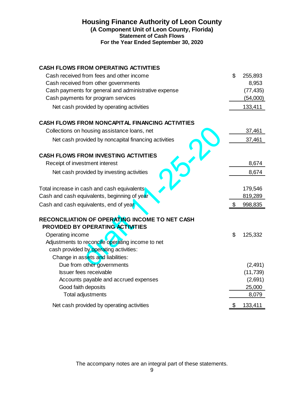# **Housing Finance Authority of Leon County (A Component Unit of Leon County, Florida) Statement of Cash Flows For the Year Ended September 30, 2020**

| <b>CASH FLOWS FROM OPERATING ACTIVITIES</b>                                        |               |
|------------------------------------------------------------------------------------|---------------|
| Cash received from fees and other income                                           | \$<br>255,893 |
| Cash received from other governments                                               | 8,953         |
| Cash payments for general and administrative expense                               | (77, 435)     |
| Cash payments for program services                                                 | (54,000)      |
| Net cash provided by operating activities                                          | 133,411       |
| <b>CASH FLOWS FROM NONCAPITAL FINANCING ACTIVITIES</b>                             |               |
| Collections on housing assistance loans, net                                       | 37,461        |
| Net cash provided by noncapital financing activities                               | 37,461        |
| <b>CASH FLOWS FROM INVESTING ACTIVITIES</b>                                        |               |
| Receipt of investment interest                                                     | 8,674         |
| Net cash provided by investing activities                                          | 8,674         |
| Total increase in cash and cash equivalents                                        | 179,546       |
| Cash and cash equivalents, beginning of year                                       | 819,289       |
| Cash and cash equivalents, end of yean                                             | \$<br>998,835 |
| RECONCILIATION OF OPERATING INCOME TO NET CASH<br>PROVIDED BY OPERATING ACTIVITIES |               |
| Operating income                                                                   | \$<br>125,332 |
| Adjustments to reconcile operating income to net                                   |               |
| cash provided by operating activities:                                             |               |
| Change in assets and liabilities:                                                  |               |
| Due from other governments                                                         | (2, 491)      |
| <b>Issuer fees receivable</b>                                                      | (11, 739)     |
| Accounts payable and accrued expenses                                              | (2,691)       |
| Good faith deposits                                                                | 25,000        |
| Total adjustments                                                                  | 8,079         |
| Net cash provided by operating activities                                          | \$<br>133,411 |

The accompany notes are an integral part of these statements.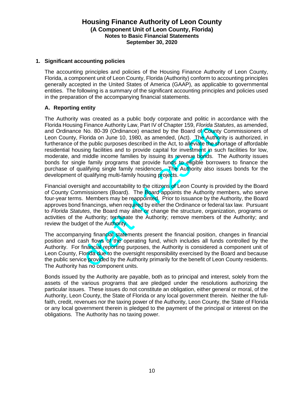# **1. Significant accounting policies**

The accounting principles and policies of the Housing Finance Authority of Leon County, Florida, a component unit of Leon County, Florida (Authority) conform to accounting principles generally accepted in the United States of America (GAAP), as applicable to governmental entities. The following is a summary of the significant accounting principles and policies used in the preparation of the accompanying financial statements.

# **A. Reporting entity**

*y* Finance Authority Law, ratity of the Board of County<br>Photo 80-39 (Ordinance) enacted by the Board of County<br>Florida on June 10, 1980, as amended, (Act). The Authorithe<br>public purposes described in the Act, to alleviate The Authority was created as a public body corporate and politic in accordance with the Florida Housing Finance Authority Law, Part IV of Chapter 159, *Florida Statutes*, as amended, and Ordinance No. 80-39 (Ordinance) enacted by the Board of County Commissioners of Leon County, Florida on June 10, 1980, as amended, (Act). The Authority is authorized, in furtherance of the public purposes described in the Act, to alleviate the shortage of affordable residential housing facilities and to provide capital for investment in such facilities for low, moderate, and middle income families by issuing its revenue bonds. The Authority issues bonds for single family programs that provide funds to eligible borrowers to finance the purchase of qualifying single family residences. The Authority also issues bonds for the development of qualifying multi-family housing projects.

Financial oversight and accountability to the citizens of Leon County is provided by the Board of County Commissioners (Board). The Board appoints the Authority members, who serve four-year terms. Members may be reappointed. Prior to issuance by the Authority, the Board approves bond financings, when required by either the Ordinance or federal tax law. Pursuant to *Florida Statutes*, the Board may alter or change the structure, organization, programs or activities of the Authority; terminate the Authority; remove members of the Authority; and review the budget of the Authority.

The accompanying financial statements present the financial position, changes in financial position and cash flows of the operating fund, which includes all funds controlled by the Authority. For financial reporting purposes, the Authority is considered a component unit of Leon County, Florida due to the oversight responsibility exercised by the Board and because the public service provided by the Authority primarily for the benefit of Leon County residents. The Authority has no component units.

Bonds issued by the Authority are payable, both as to principal and interest, solely from the assets of the various programs that are pledged under the resolutions authorizing the particular issues. These issues do not constitute an obligation, either general or moral, of the Authority, Leon County, the State of Florida or any local government therein. Neither the fullfaith, credit, revenues nor the taxing power of the Authority, Leon County, the State of Florida or any local government therein is pledged to the payment of the principal or interest on the obligations. The Authority has no taxing power.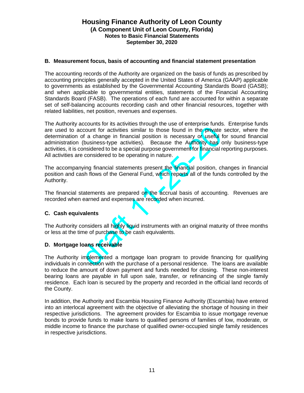# **B. Measurement focus, basis of accounting and financial statement presentation**

The accounting records of the Authority are organized on the basis of funds as prescribed by accounting principles generally accepted in the United States of America (GAAP) applicable to governments as established by the Governmental Accounting Standards Board (GASB); and when applicable to governmental entities, statements of the Financial Accounting Standards Board (FASB). The operations of each fund are accounted for within a separate set of self-balancing accounts recording cash and other financial resources, together with related liabilities, net position, revenues and expenses.

Crocount for activities similar to those found in the private<br>of a change in financial position is necessary or useful (business-type activities). Because the Authority has<br>onsidered to be a special purpose government for The Authority accounts for its activities through the use of enterprise funds. Enterprise funds are used to account for activities similar to those found in the private sector, where the determination of a change in financial position is necessary or useful for sound financial administration (business-type activities). Because the Authority has only business-type activities, it is considered to be a special purpose government for financial reporting purposes. All activities are considered to be operating in nature.

The accompanying financial statements present the *financial* position, changes in financial position and cash flows of the General Fund, which reports all of the funds controlled by the Authority.

The financial statements are prepared on the accrual basis of accounting. Revenues are recorded when earned and expenses are recorded when incurred.

# **C. Cash equivalents**

The Authority considers all highly liquid instruments with an original maturity of three months or less at the time of purchase to be cash equivalents.

# **D. Mortgage loans receivable**

The Authority implemented a mortgage loan program to provide financing for qualifying individuals in connection with the purchase of a personal residence. The loans are available to reduce the amount of down payment and funds needed for closing. These non-interest bearing loans are payable in full upon sale, transfer, or refinancing of the single family residence. Each loan is secured by the property and recorded in the official land records of the County.

In addition, the Authority and Escambia Housing Finance Authority (Escambia) have entered into an interlocal agreement with the objective of alleviating the shortage of housing in their respective jurisdictions. The agreement provides for Escambia to issue mortgage revenue bonds to provide funds to make loans to qualified persons of families of low, moderate, or middle income to finance the purchase of qualified owner-occupied single family residences in respective jurisdictions.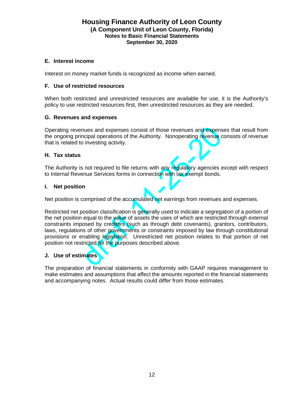# **E. Interest income**

Interest on money market funds is recognized as income when earned.

# **F. Use of restricted resources**

When both restricted and unrestricted resources are available for use, it is the Authority's policy to use restricted resources first, then unrestricted resources as they are needed.

# **G. Revenues and expenses**

Operating revenues and expenses consist of those revenues and expenses that result from the ongoing principal operations of the Authority. Nonoperating revenue consists of revenue that is related to investing activity.

# **H. Tax status**

The Authority is not required to file returns with any requiatory agencies except with respect to Internal Revenue Services forms in connection with tax exempt bonds.

### **I. Net position**

Net position is comprised of the accumulated net earnings from revenues and expenses.

mues and expenses consist of those revenues and expension<br>incipal operations of the Authority. Nonoperating revenue of<br>investing activity.<br>Some straight and the first in connection with tax exempt bonds.<br>The comprised of t Restricted net position classification is generally used to indicate a segregation of a portion of the net position equal to the value of assets the uses of which are restricted through external constraints imposed by creditors (such as through debt covenants), grantors, contributors, laws, regulations of other governments or constraints imposed by law through constitutional provisions or enabling legislation. Unrestricted net position relates to that portion of net position not restricted for the purposes described above.

# **J. Use of estimates**

The preparation of financial statements in conformity with GAAP requires management to make estimates and assumptions that affect the amounts reported in the financial statements and accompanying notes. Actual results could differ from those estimates.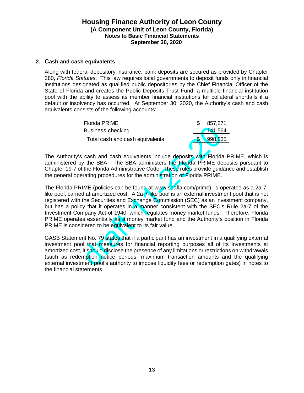# **2. Cash and cash equivalents**

Along with federal depository insurance, bank deposits are secured as provided by Chapter 280, *Florida Statutes*. This law requires local governments to deposit funds only in financial institutions designated as qualified public depositories by the Chief Financial Officer of the State of Florida and creates the Public Deposits Trust Fund, a multiple financial institution pool with the ability to assess its member financial institutions for collateral shortfalls if a default or insolvency has occurred. At September 30, 2020, the Authority's cash and cash equivalents consists of the following accounts:

| Florida PRIME                   | 857,271 |
|---------------------------------|---------|
| Business checking               | 141,564 |
| Total cash and cash equivalents | 998,835 |
|                                 |         |

The Authority's cash and cash equivalents include deposits with Florida PRIME, which is administered by the SBA. The SBA administers the Florida PRIME deposits pursuant to Chapter 19-7 of the Florida Administrative Code. These rules provide guidance and establish the general operating procedures for the administration of Florida PRIME.

Business checking<br>
Total cash and cash equivalents<br>
Sources Total cash and cash equivalents<br>
Sources The SBA administrative deposits with Florida<br>
or the SBA. The SBA administrative Code. The Florida PRIME de<br>
or the Flori The Florida PRIME (policies can be found at www.s**bafla.com/prime)**, is operated as a 2a-7like pool, carried at amortized cost. A 2a-7-like pool is an external investment pool that is not registered with the Securities and Exchange Commission (SEC) as an investment company, but has a policy that it operates in a manner consistent with the SEC's Rule 2a-7 of the Investment Company Act of 1940, which regulates money market funds. Therefore, Florida PRIME operates essentially as a money market fund and the Authority's position in Florida PRIME is considered to be equivalent to its fair value.

GASB Statement No. 79 states that if a participant has an investment in a qualifying external investment pool that measures for financial reporting purposes all of its investments at amortized cost, it should disclose the presence of any limitations or restrictions on withdrawals (such as redemption notice periods, maximum transaction amounts and the qualifying external investment pool's authority to impose liquidity fees or redemption gates) in notes to the financial statements.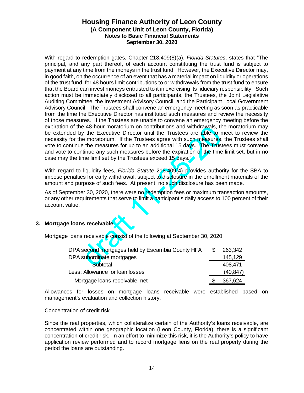e 48-hour moratorium on contributions and withdrawals, the Executive Director until the Trustees are able to remement is the encontorium. If the Trustees are dieto the measures et in encontrinue any such measures before th With regard to redemption gates, Chapter 218.409(8)(a), *Florida Statutes*, states that "The principal, and any part thereof, of each account constituting the trust fund is subject to payment at any time from the moneys in the trust fund. However, the Executive Director may, in good faith, on the occurrence of an event that has a material impact on liquidity or operations of the trust fund, for 48 hours limit contributions to or withdrawals from the trust fund to ensure that the Board can invest moneys entrusted to it in exercising its fiduciary responsibility. Such action must be immediately disclosed to all participants, the Trustees, the Joint Legislative Auditing Committee, the Investment Advisory Council, and the Participant Local Government Advisory Council. The Trustees shall convene an emergency meeting as soon as practicable from the time the Executive Director has instituted such measures and review the necessity of those measures. If the Trustees are unable to convene an emergency meeting before the expiration of the 48-hour moratorium on contributions and withdrawals, the moratorium may be extended by the Executive Director until the Trustees are able to meet to review the necessity for the moratorium. If the Trustees agree with such measures, the Trustees shall vote to continue the measures for up to an additional 15 days. The Trustees must convene and vote to continue any such measures before the expiration of the time limit set, but in no case may the time limit set by the Trustees exceed 15 days."

With regard to liquidity fees, *Florida Statute* 218.409(4) provides authority for the SBA to impose penalties for early withdrawal, subject to disclosure in the enrollment materials of the amount and purpose of such fees. At present, no such disclosure has been made.

As of September 30, 2020, there were no redemption fees or maximum transaction amounts, or any other requirements that serve to limit a participant's daily access to 100 percent of their account value.

# **3. Mortgage loans receivable**

Mortgage loans receivable consist of the following at September 30, 2020:

| DPA second mortgages held by Escambia County HFA | - \$ | 263,342   |
|--------------------------------------------------|------|-----------|
| DPA subordinate mortgages                        |      | 145,129   |
| Subtotal                                         |      | 408,471   |
| Less: Allowance for loan losses                  |      | (40, 847) |
| Mortgage loans receivable, net                   |      | 367,624   |

Allowances for losses on mortgage loans receivable were established based on management's evaluation and collection history.

### Concentration of credit risk

Since the real properties, which collateralize certain of the Authority's loans receivable, are concentrated within one geographic location (Leon County, Florida), there is a significant concentration of credit risk. In an effort to minimize this risk, it is the Authority's policy to have application review performed and to record mortgage liens on the real property during the period the loans are outstanding.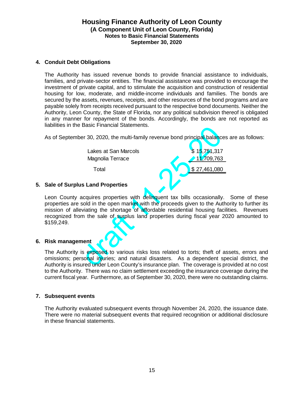# **4. Conduit Debt Obligations**

The Authority has issued revenue bonds to provide financial assistance to individuals, families, and private-sector entities. The financial assistance was provided to encourage the investment of private capital, and to stimulate the acquisition and construction of residential housing for low, moderate, and middle-income individuals and families. The bonds are secured by the assets, revenues, receipts, and other resources of the bond programs and are payable solely from receipts received pursuant to the respective bond documents. Neither the Authority, Leon County, the State of Florida, nor any political subdivision thereof is obligated in any manner for repayment of the bonds. Accordingly, the bonds are not reported as liabilities in the Basic Financial Statements.

As of September 30, 2020, the multi-family revenue bond principal balances are as follows:

Basic Financial Statements.<br>
er 30, 2020, the multi-family revenue bond principal balance<br>
Lakes at San Marcols<br>
5 15,751,317<br>
Magnolia Terrace<br>
Total<br>
Is Land Properties<br>
acquires properties with delinquent tax bills occa Lakes at San Marcols **\$** 15,751,317 Magnolia Terrace 2008/09/11,709,763 Total \$27,461,080

# **5. Sale of Surplus Land Properties**

Leon County acquires properties with delinquent tax bills occasionally. Some of these properties are sold in the open market with the proceeds given to the Authority to further its mission of alleviating the shortage of affordable residential housing facilities. Revenues recognized from the sale of surplus land properties during fiscal year 2020 amounted to \$159,249.

# **6. Risk management**

The Authority is exposed to various risks loss related to torts; theft of assets, errors and omissions; personal injuries; and natural disasters. As a dependent special district, the Authority is insured under Leon County's insurance plan. The coverage is provided at no cost to the Authority. There was no claim settlement exceeding the insurance coverage during the current fiscal year. Furthermore, as of September 30, 2020, there were no outstanding claims.

### **7. Subsequent events**

The Authority evaluated subsequent events through November 24, 2020, the issuance date. There were no material subsequent events that required recognition or additional disclosure in these financial statements.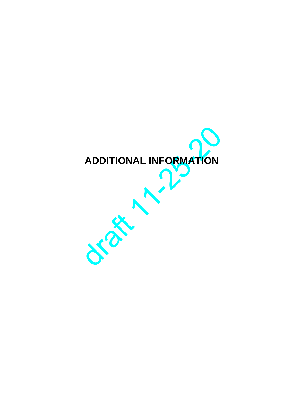# **draft ADDITIONAL INFORMATION**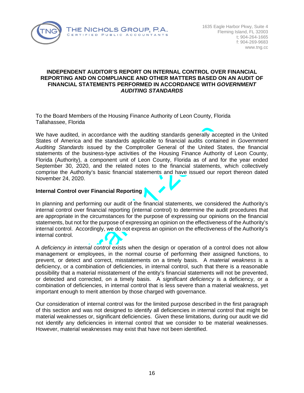

 1635 Eagle Harbor Pkwy, Suite 4 Fleming Island, FL 32003 t; 904-264-1665 f: 904-269-9683 www.tng.cc

# **INDEPENDENT AUDITOR'S REPORT ON INTERNAL CONTROL OVER FINANCIAL REPORTING AND ON COMPLIANCE AND OTHER MATTERS BASED ON AN AUDIT OF FINANCIAL STATEMENTS PERFORMED IN ACCORDANCE WITH** *GOVERNMENT AUDITING STANDARDS*

To the Board Members of the Housing Finance Authority of Leon County, Florida Tallahassee, Florida

THE NICHOLS GROUP, P.A. CERTIFIED PUBLIC ACCOUNTANTS

in accordance with the auditing standards generally accert and the standards applicable to financial audits contain<br>
draws is issued by the Comptroller General of the United St business-type activities of the Housing Finan We have audited, in accordance with the auditing standards generally accepted in the United States of America and the standards applicable to financial audits contained in *Government Auditing Standards* issued by the Comptroller General of the United States, the financial statements of the business-type activities of the Housing Finance Authority of Leon County, Florida (Authority), a component unit of Leon County, Florida as of and for the year ended September 30, 2020, and the related notes to the financial statements, which collectively comprise the Authority's basic financial statements and have issued our report thereon dated November 24, 2020.

# **Internal Control over Financial Reporting**

In planning and performing our audit of the financial statements, we considered the Authority's internal control over financial reporting (internal control) to determine the audit procedures that are appropriate in the circumstances for the purpose of expressing our opinions on the financial statements, but not for the purpose of expressing an opinion on the effectiveness of the Authority's internal control. Accordingly, we do not express an opinion on the effectiveness of the Authority's internal control.

A *deficiency in internal control* exists when the design or operation of a control does not allow management or employees, in the normal course of performing their assigned functions, to prevent, or detect and correct, misstatements on a timely basis. A *material weakness* is a deficiency, or a combination of deficiencies, in internal control, such that there is a reasonable possibility that a material misstatement of the entity's financial statements will not be prevented, or detected and corrected, on a timely basis. A *significant deficiency* is a deficiency, or a combination of deficiencies, in internal control that is less severe than a material weakness, yet important enough to merit attention by those charged with governance.

Our consideration of internal control was for the limited purpose described in the first paragraph of this section and was not designed to identify all deficiencies in internal control that might be material weaknesses or, significant deficiencies. Given these limitations, during our audit we did not identify any deficiencies in internal control that we consider to be material weaknesses. However, material weaknesses may exist that have not been identified.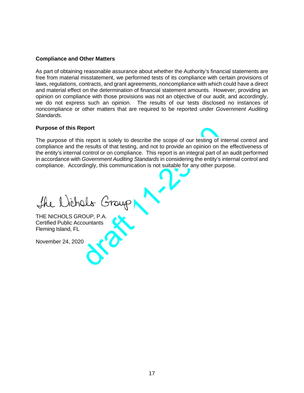# **Compliance and Other Matters**

As part of obtaining reasonable assurance about whether the Authority's financial statements are free from material misstatement, we performed tests of its compliance with certain provisions of laws, regulations, contracts, and grant agreements, noncompliance with which could have a direct and material effect on the determination of financial statement amounts. However, providing an opinion on compliance with those provisions was not an objective of our audit, and accordingly, we do not express such an opinion. The results of our tests disclosed no instances of noncompliance or other matters that are required to be reported under *Government Auditing Standards*.

### **Purpose of this Report**

Example the scope of our testing of interest is solely to describe the scope of our testing of interest of that testing, and not to provide an opinion on the control or on compliance. This report is an integral part of Gov The purpose of this report is solely to describe the scope of our testing of internal control and compliance and the results of that testing, and not to provide an opinion on the effectiveness of the entity's internal control or on compliance. This report is an integral part of an audit performed in accordance with *Government Auditing Standards* in considering the entity's internal control and compliance. Accordingly, this communication is not suitable for any other purpose.

THE NICHOLS GROUP, P.A. Certified Public Accountants Fleming Island, FL

November 24, 2020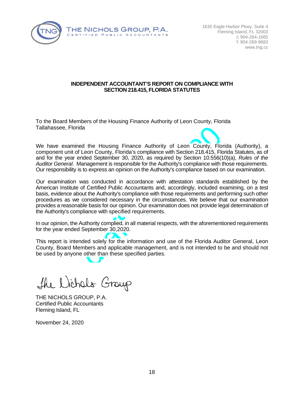

## **INDEPENDENT ACCOUNTANT'S REPORT ON COMPLIANCE WITH SECTION 218.415, FLORIDA STATUTES**

To the Board Members of the Housing Finance Authority of Leon County, Florida Tallahassee, Florida

We have examined the Housing Finance Authority of Leon County, Florida (Authority), a component unit of Leon County, Florida's compliance with Section 218.415, Florida Statutes, as of and for the year ended September 30, 2020, as required by Section 10.556(10)(a), *Rules of the Auditor General.* Management is responsible for the Authority's compliance with those requirements. Our responsibility is to express an opinion on the Authority's compliance based on our examination.

da<br>
da the Housing Finance Authority of Leon County, Flo<br>
Leon County, Florida's compliance with Section 218.415, Flored September 30, 2020, as required by Section 10.556(1<br>
danagement is responsible for the Authority's co Our examination was conducted in accordance with attestation standards established by the American Institute of Certified Public Accountants and, accordingly, included examining, on a test basis, evidence about the Authority's compliance with those requirements and performing such other procedures as we considered necessary in the circumstances. We believe that our examination provides a reasonable basis for our opinion. Our examination does not provide legal determination of the Authority's compliance with specified requirements.

In our opinion, the Authority complied, in all material respects, with the aforementioned requirements for the year ended September 30,2020.

This report is intended solely for the information and use of the Florida Auditor General, Leon County, Board Members and applicable management, and is not intended to be and should not be used by anyone other than these specified parties.

the Wichels Group

THE NICHOLS GROUP, P.A. Certified Public Accountants Fleming Island, FL

November 24, 2020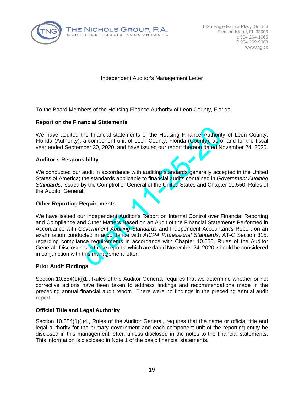

# Independent Auditor's Management Letter

To the Board Members of the Housing Finance Authority of Leon County, Florida.

# **Report on the Financial Statements**

We have audited the financial statements of the Housing Finance Authority of Leon County, Florida (Authority), a component unit of Leon County, Florida (County), as of and for the fiscal year ended September 30, 2020, and have issued our report thereon dated November 24, 2020.

# **Auditor's Responsibility**

We conducted our audit in accordance with auditing standards generally accepted in the United States of America; the standards applicable to financial audits contained in *Government Auditing Standards*, issued by the Comptroller General of the United States and Chapter 10.550, Rules of the Auditor General.

### **Other Reporting Requirements**

the financial statements of the Housing Finance Authorit<br>
a component unit of Leon County, Florida (County), as comber 30, 2020, and have issued our report thereon dated N<br>
sibility<br>
audit in accordance with auditing stand We have issued our Independent Auditor's Report on Internal Control over Financial Reporting and Compliance and Other Matters Based on an Audit of the Financial Statements Performed in Accordance with *Government Auditing Standards* and Independent Accountant's Report on an examination conducted in accordance with *AICPA Professional Standards*, AT-C Section 315, regarding compliance requirements in accordance with Chapter 10.550, Rules of the Auditor General. Disclosures in those reports, which are dated November 24, 2020, should be considered in conjunction with this management letter.

### **Prior Audit Findings**

Section 10.554(1)(i)1., Rules of the Auditor General, requires that we determine whether or not corrective actions have been taken to address findings and recommendations made in the preceding annual financial audit report. There were no findings in the preceding annual audit report.

### **Official Title and Legal Authority**

Section 10.554(1)(i)4., Rules of the Auditor General, requires that the name or official title and legal authority for the primary government and each component unit of the reporting entity be disclosed in this management letter, unless disclosed in the notes to the financial statements. This information is disclosed in Note 1 of the basic financial statements.